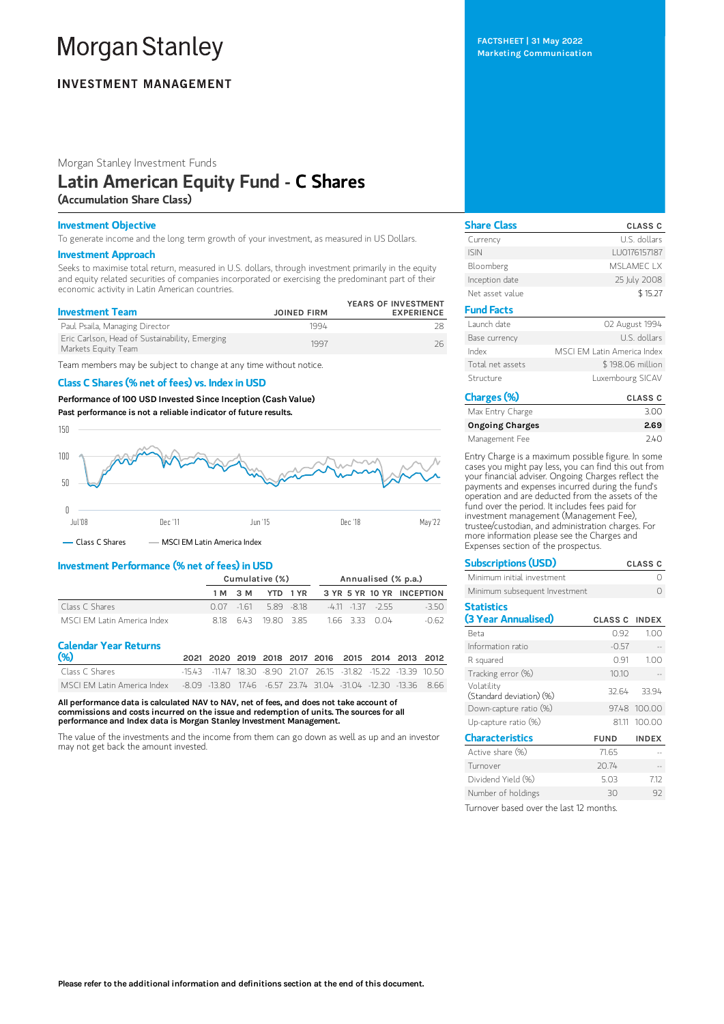# **Morgan Stanley**

# **INVESTMENT MANAGEMENT**

Morgan Stanley Investment Funds

# Latin American Equity Fund - C Shares (Accumulation Share Class)

# Investment Objective

To generate income and the long term growth of your investment, as measured in US Dollars.

### Investment Approach

Seeks to maximise total return, measured in U.S. dollars, through investment primarily in the equity and equity related securities of companies incorporated or exercising the predominant part of their economic activity in Latin American countries.

| <b>Investment Team</b>                                                | <b>JOINED FIRM</b> | YEARS OF INVESTMENT<br><b>EXPERIENCE</b> |
|-----------------------------------------------------------------------|--------------------|------------------------------------------|
| Paul Psaila, Managing Director                                        | 1994               |                                          |
| Eric Carlson, Head of Sustainability, Emerging<br>Markets Equity Team | 1997               | 26                                       |

Team members may be subject to change at any time without notice.

# Class C Shares (% net of fees) vs. Index in USD

Performance of100 USD Invested Since Inception (Cash Value)

Past performance is not a reliable indicator of future results.



# Investment Performance (% net of fees) in USD

|                            | Cumulative (%) |            |                  |          | Annualised (% p.a.) |                      |                           |  |
|----------------------------|----------------|------------|------------------|----------|---------------------|----------------------|---------------------------|--|
|                            |                | 1 M 3 M    |                  | YTD 1 YR |                     |                      | 3 YR 5 YR 10 YR INCEPTION |  |
| Class C Shares             |                | 0.07 - 161 | 589 -818         |          |                     | $-411$ $-137$ $-255$ | $-350$                    |  |
| MSCLEM Latin America Index |                |            | 818 643 1980 385 |          |                     | 1.66 3.33 0.04       | -0.62                     |  |

# Calendar Year Returns

| (% )           |  |  |  | 2021 2020 2019 2018 2017 2016 2015 2014 2013 2012            |  |  |
|----------------|--|--|--|--------------------------------------------------------------|--|--|
| Class C Shares |  |  |  | -1543 -1147 1830 -890 21.07 26.15 -31.82 -15.22 -13.39 10.50 |  |  |
|                |  |  |  |                                                              |  |  |

All performance data is calculated NAV to NAV, net of fees, and does not take account of commissions and costs incurred on the issue and redemption of units. The sources for all performance and Index data is Morgan Stanley Investment Management.

The value of the investments and the income from them can go down as well as up and an investor may not get back the amount invested.

FACTSHEET | 31 May 2022 Marketing Communication

| <b>Share Class</b> | <b>CLASS C</b>              |
|--------------------|-----------------------------|
| Currency           | U.S. dollars                |
| <b>ISIN</b>        | LU0176157187                |
| Bloomberg          | MSI AMFC I X                |
| Inception date     | 25 July 2008                |
| Net asset value    | \$15.27                     |
| <b>Fund Facts</b>  |                             |
| Launch date        | 02 August 1994              |
| Base currency      | U.S. dollars                |
| Index              | MSCI FM Latin America Index |
| Total net assets   | \$198.06 million            |
| Structure          | Luxembourg SICAV            |
| Charges (%)        | <b>CLASS C</b>              |

| Max Entry Charge       | 3.00 |
|------------------------|------|
| <b>Ongoing Charges</b> | 2.69 |
| Management Fee         | 740  |

Entry Charge is a maximum possible figure. In some cases you might pay less, you can find this out from your financial adviser. Ongoing Charges reflect the payments and expenses incurred during the fund's operation and are deducted from the assets of the fund over the period. It includes fees paid for investment management (Management Fee), trustee/custodian, and administration charges. For more information please see the Charges and Expenses section of the prospectus.

| <b>Subscriptions (USD)</b>             |                      | <b>CLASS C</b> |
|----------------------------------------|----------------------|----------------|
| Minimum initial investment             |                      |                |
| Minimum subsequent Investment          |                      |                |
| <b>Statistics</b>                      |                      |                |
| (3 Year Annualised)                    | <b>CLASS C INDEX</b> |                |
| Reta                                   | 0.92                 | 1.00           |
| Information ratio                      | $-0.57$              |                |
| R squared                              | 0.91                 | 1.00           |
| Tracking error (%)                     | 10.10                |                |
| Volatility<br>(Standard deviation) (%) | 32.64                | 33.94          |
| Down-capture ratio (%)                 |                      | 97.48 100.00   |
| Up-capture ratio (%)                   | 81.11                | 100.00         |
| <b>Characteristics</b>                 | <b>FUND</b>          | <b>INDEX</b>   |
| Active share (%)                       | 71.65                |                |
| Turnover                               | 20.74                |                |
| Dividend Yield (%)                     | 5.03                 | 7.12           |
| Number of holdings                     | 30                   | 92             |
|                                        |                      |                |

Turnover based over the last 12 months.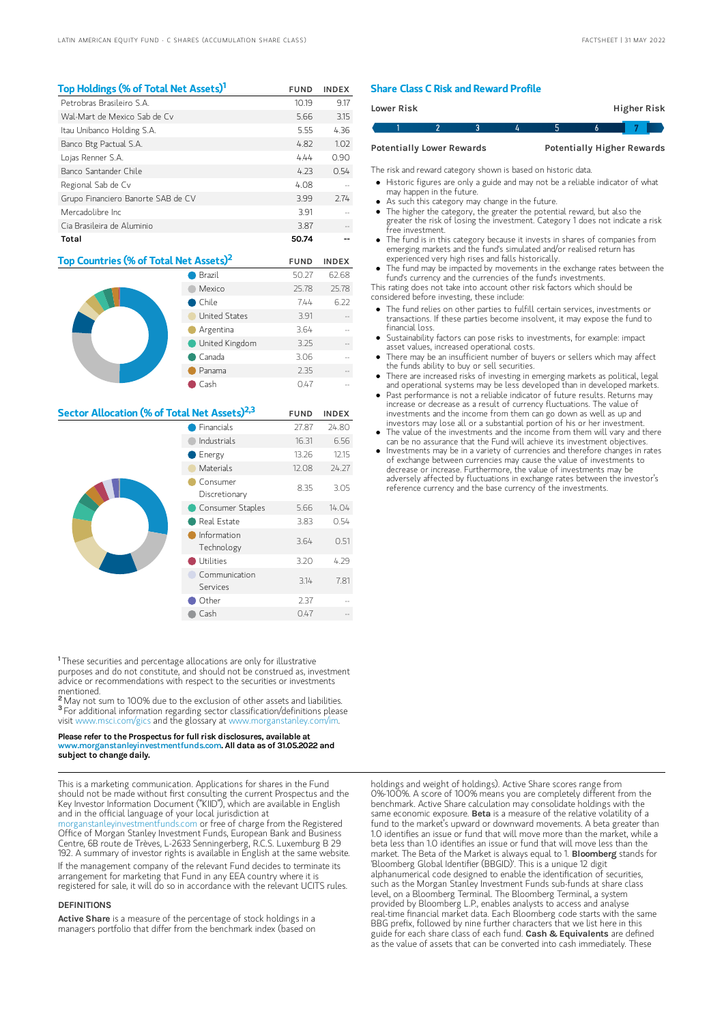| Top Holdings (% of Total Net Assets) <sup>1</sup>  |                | <b>FUND</b> | <b>INDEX</b> |
|----------------------------------------------------|----------------|-------------|--------------|
| Petrobras Brasileiro S.A.                          |                | 10.19       | 9.17         |
| Wal-Mart de Mexico Sab de Cv                       |                | 5.66        | 3.15         |
| Itau Unibanco Holding S.A.                         |                | 5.55        | 4.36         |
| Banco Btg Pactual S.A.                             |                | 4.82        | 1.02         |
| Lojas Renner S.A.                                  |                | 4.44        | 0.90         |
| Banco Santander Chile                              |                | 4.23        | 0.54         |
| Regional Sab de Cv                                 |                | 4.08        |              |
| Grupo Financiero Banorte SAB de CV                 |                | 3.99        | 2.74         |
| Mercadolibre Inc.                                  |                | 3.91        |              |
| Cia Brasileira de Aluminio                         |                | 3.87        |              |
| Total                                              |                | 50.74       |              |
| Top Countries (% of Total Net Assets) <sup>2</sup> |                | <b>FUND</b> | <b>INDEX</b> |
|                                                    | Brazil         | 50.27       | 62.68        |
|                                                    | Mexico         | 25.78       | 25.78        |
|                                                    | Chile          | 7.44        | 6.22         |
|                                                    | United States  | 3.91        |              |
|                                                    | Argentina      | 3.64        |              |
|                                                    | United Kingdom | 3.25        |              |
|                                                    | Canada         | 306         |              |

| Sector Allocation (% of Total Net Assets) <sup>2,3</sup> |                           | <b>FUND</b> | <b>INDEX</b> |
|----------------------------------------------------------|---------------------------|-------------|--------------|
|                                                          | Financials                | 27.87       | 24.80        |
|                                                          | Industrials               | 16.31       | 6.56         |
|                                                          | Energy                    | 13.26       | 12.15        |
|                                                          | Materials                 | 12.08       | 24.27        |
|                                                          | Consumer<br>Discretionary | 8.35        | 3.05         |
|                                                          | Consumer Staples          | 5.66        | 14.04        |
|                                                          | Real Estate               | 3.83        | 0.54         |
|                                                          | Information<br>Technology | 3.64        | 0.51         |
|                                                          | Utilities                 | 3.20        | 4.29         |
|                                                          | Communication<br>Services | 3.14        | 7.81         |
|                                                          | Other                     | 2.37        |              |
|                                                          | Cash                      | 0.47        |              |

Panama 2.35

Cash 0.47 --

<sup>1</sup>These securities and percentage allocations are only for illustrative purposes and do not constitute, and should not be construed as, investment advice or recommendations with respect to the securities or investments mentioned.

<sup>2</sup> May not sum to 100% due to the exclusion of other assets and liabilities. <sup>3</sup> For additional information regarding sector classification/definitions please visit www.msci.com/gics and the glossary at www.morganstanley.com

#### Please refer to the Prospectus for full risk disclosures, available at ganstanleyinvestmentfunds.co<mark>m.</mark> All data as of 31.05.2022 and subject to change daily.

This is a marketing communication. Applications for shares in the Fund should not be made without first consulting the current Prospectus and the Key Investor Information Document ("KIID"), which are available in English and in the official language of your local jurisdiction at

[morganstanleyinvestmentfunds.com](https://www.morganstanley.com/im/msinvf/index.html) or free of charge from the Registered Office of Morgan Stanley Investment Funds, European Bank and Business Centre, 6B route de Trèves, L-2633 Senningerberg, R.C.S. Luxemburg B 29 192. A summary of investor rights is available in English at the same website. If the management company of the relevant Fund decides to terminate its arrangement for marketing that Fund in any EEA country where it is registered for sale, it will do so in accordance with the relevant UCITS rules.

## **DEFINITIONS**

Active Share is a measure of the percentage of stock holdings in a managers portfolio that differ from the benchmark index (based on

# Share Class C Risk and Reward Profile

| Lower Risk                                                            |  |  |  |  | Higher Risk |  |  |
|-----------------------------------------------------------------------|--|--|--|--|-------------|--|--|
|                                                                       |  |  |  |  |             |  |  |
| <b>Potentially Higher Rewards</b><br><b>Potentially Lower Rewards</b> |  |  |  |  |             |  |  |

The risk and reward category shown is based on historic data.

- Historic figures are only a guide and may not be a reliable indicator of what may happen in the future.
- As such this category may change in the future.
- The higher the category, the greater the potential reward, but also the greater the risk of losing the investment. Category 1 does not indicate a risk free investment.
- The fund is in this category because it invests in shares of companies from emerging markets and the fund's simulated and/or realised return has experienced very high rises and falls historically.
- The fund may be impacted by movements in the exchange rates between the fund's currency and the currencies of the fund's investments.

This rating does not take into account other risk factors which should be considered before investing, these include:

- The fund relies on other parties to fulfill certain services, investments or transactions. If these parties become insolvent, it may expose the fund to financial loss.
- Sustainability factors can pose risks to investments, for example: impact asset values, increased operational costs.
- $\bullet$ There may be an insufficient number of buyers or sellers which may affect the funds ability to buy or sell securities.
- There are increased risks of investing in emerging markets as political, legal and operational systems may be less developed than in developed markets.
- Past performance is not a reliable indicator of future results. Returns may increase or decrease as a result of currency fluctuations. The value of investments and the income from them can go down as well as up and investors may lose all or a substantial portion of his or her investment.
- $\bullet$  The value of the investments and the income from them will vary and there can be no assurance that the Fund will achieve its investment objectives.
- $\bullet$  Investments may be in a variety of currencies and therefore changes in rates of exchange between currencies may cause the value of investments to decrease or increase. Furthermore, the value of investments may be adversely affected by fluctuations in exchange rates between the investor's reference currency and the base currency of the investments.

holdings and weight of holdings). Active Share scores range from 0%-100%. A score of 100% means you are completely different from the benchmark. Active Share calculation may consolidate holdings with the same economic exposure. Beta is a measure of the relative volatility of a fund to the market's upward or downward movements. A beta greater than 1.0 identifies an issue or fund that will move more than the market, while a beta less than 1.0 identifies an issue or fund that will move less than the market. The Beta of the Market is always equal to 1. **Bloomberg** stands for 'Bloomberg Global Identifier (BBGID)'. This is a unique 12 digit alphanumerical code designed to enable the identification of securities, such as the Morgan Stanley Investment Funds sub-funds at share class level, on a Bloomberg Terminal. The Bloomberg Terminal, a system provided by Bloomberg L.P., enables analysts to access and analyse real-time financial market data. Each Bloomberg code starts with the same BBG prefix, followed by nine further characters that we list here in this guide for each share class of each fund. Cash & Equivalents are defined as the value of assets that can be converted into cash immediately. These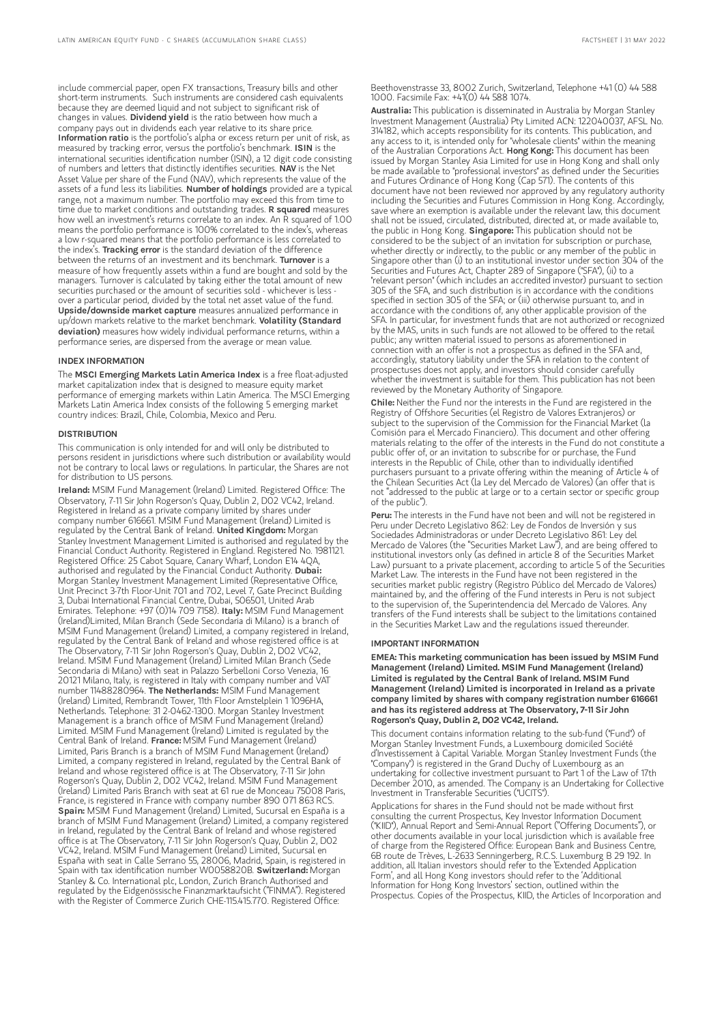include commercial paper, open FX transactions, Treasury bills and other short-term instruments. Such instruments are considered cash equivalents because they are deemed liquid and not subject to significant risk of changes in values. Dividend yield is the ratio between how much a company pays out in dividends each year relative to its share price. Information ratio is the portfolio's alpha or excess return per unit of risk, as measured by tracking error, versus the portfolio's benchmark. ISIN is the international securities identification number (ISIN), a 12 digit code consisting of numbers and letters that distinctly identifies securities. NAV is the Net Asset Value per share of the Fund (NAV), which represents the value of the assets of a fund less its liabilities. Number of holdings provided are a typical range, not a maximum number. The portfolio may exceed this from time to time due to market conditions and outstanding trades. **R squared** measures how well an investment's returns correlate to an index. An R squared of 1.00 means the portfolio performance is 100% correlated to the index's, whereas a low r-squared means that the portfolio performance is less correlated to<br>the index's. **Tracking error** is the standard deviation of the difference between the returns of an investment and its benchmark. Turnover is a measure of how frequently assets within a fund are bought and sold by the managers. Turnover is calculated by taking either the total amount of new securities purchased or the amount of securities sold - whichever is less over a particular period, divided by the total net asset value of the fund. Upside/downside market capture measures annualized performance in up/down markets relative to the market benchmark. Volatility (Standard deviation) measures how widely individual performance returns, within a performance series, are dispersed from the average or mean value.

### INDEX INFORMATION

The MSCI Emerging Markets Latin America Index is a free float-adjusted market capitalization index that is designed to measure equity market performance of emerging markets within Latin America. The MSCI Emerging Markets Latin America Index consists of the following 5 emerging market country indices: Brazil, Chile, Colombia, Mexico and Peru.

## DISTRIBUTION

This communication is only intended for and will only be distributed to persons resident in jurisdictions where such distribution or availability would not be contrary to local laws or regulations. In particular, the Shares are not for distribution to US persons.

Ireland: MSIM Fund Management (Ireland) Limited. Registered Office: The Observatory, 7-11 Sir John Rogerson's Quay, Dublin 2, D02 VC42, Ireland. Registered in Ireland as a private company limited by shares under company number 616661. MSIM Fund Management (Ireland) Limited is regulated by the Central Bank of Ireland. United Kingdom: Morgan Stanley Investment Management Limited is authorised and regulated by the Financial Conduct Authority. Registered in England. Registered No. 1981121. Registered Office: 25 Cabot Square, Canary Wharf, London E14 4QA,<br>authorised and regulated by the Financial Conduct Authority. **Dubai:** Morgan Stanley Investment Management Limited (Representative Office, Unit Precinct 3-7th Floor-Unit 701 and 702, Level 7, Gate Precinct Building 3, Dubai International Financial Centre, Dubai, 506501, United Arab<br>Emirates. Telephone: +97 (0)14 709 7158). **Italy:** MSIM Fund Management (Ireland)Limited, Milan Branch (Sede Secondaria di Milano) is a branch of MSIM Fund Management (Ireland) Limited, a company registered in Ireland, regulated by the Central Bank of Ireland and whose registered office is at The Observatory, 7-11 Sir John Rogerson's Quay, Dublin 2, D02 VC42, Ireland. MSIM Fund Management (Ireland) Limited Milan Branch (Sede Secondaria di Milano) with seat in Palazzo Serbelloni Corso Venezia, 16 20121 Milano, Italy, is registered in Italy with company number and VAT number 11488280964. The Netherlands: MSIM Fund Management (Ireland) Limited, Rembrandt Tower, 11th Floor Amstelplein 1 1096HA, Netherlands. Telephone: 31 2-0462-1300. Morgan Stanley Investment Management is a branch office of MSIM Fund Management (Ireland) Limited. MSIM Fund Management (Ireland) Limited is regulated by the Central Bank of Ireland. France: MSIM Fund Management (Ireland) Limited, Paris Branch is a branch of MSIM Fund Management (Ireland) Limited, a company registered in Ireland, regulated by the Central Bank of Ireland and whose registered office is at The Observatory, 7-11 Sir John Rogerson's Quay, Dublin 2, D02 VC42, Ireland. MSIM Fund Management (Ireland) Limited Paris Branch with seat at 61 rue de Monceau 75008 Paris, France, is registered in France with company number 890 071 863 RCS.<br>**Spain:** MSIM Fund Management (Ireland) Limited, Sucursal en España is a branch of MSIM Fund Management (Ireland) Limited, a company registered in Ireland, regulated by the Central Bank of Ireland and whose registered office is at The Observatory, 7-11 Sir John Rogerson's Quay, Dublin 2, D02 VC42, Ireland. MSIM Fund Management (Ireland) Limited, Sucursal en España with seat in Calle Serrano 55, 28006, Madrid, Spain, is registered in Spain with tax identification number W0058820B. Switzerland: Morgan Stanley & Co. International plc, London, Zurich Branch Authorised and regulated by the Eidgenössische Finanzmarktaufsicht ("FINMA"). Registered with the Register of Commerce Zurich CHE-115.415.770. Registered Office:

Beethovenstrasse 33, 8002 Zurich, Switzerland, Telephone +41 (0) 44 588 1000. Facsimile Fax: +41(0) 44 588 1074.

Australia: This publication is disseminated in Australia by Morgan Stanley Investment Management (Australia) Pty Limited ACN: 122040037, AFSL No. 314182, which accepts responsibility for its contents. This publication, and any access to it, is intended only for "wholesale clients" within the meaning of the Australian Corporations Act. Hong Kong: This document has been issued by Morgan Stanley Asia Limited for use in Hong Kong and shall only be made available to "professional investors" as defined under the Securities and Futures Ordinance of Hong Kong (Cap 571). The contents of this document have not been reviewed nor approved by any regulatory authority including the Securities and Futures Commission in Hong Kong. Accordingly, save where an exemption is available under the relevant law, this document shall not be issued, circulated, distributed, directed at, or made available to, the public in Hong Kong. Singapore: This publication should not be considered to be the subject of an invitation for subscription or purchase, whether directly or indirectly, to the public or any member of the public in Singapore other than (i) to an institutional investor under section 304 of the Securities and Futures Act, Chapter 289 of Singapore ("SFA"), (ii) to a "relevant person" (which includes an accredited investor) pursuant to section 305 of the SFA, and such distribution is in accordance with the conditions specified in section 305 of the SFA; or (iii) otherwise pursuant to, and in accordance with the conditions of, any other applicable provision of the SFA. In particular, for investment funds that are not authorized or recognized by the MAS, units in such funds are not allowed to be offered to the retail public; any written material issued to persons as aforementioned in connection with an offer is not a prospectus as defined in the SFA and, accordingly, statutory liability under the SFA in relation to the content of prospectuses does not apply, and investors should consider carefully whether the investment is suitable for them. This publication has not been reviewed by the Monetary Authority of Singapore.

Chile: Neither the Fund nor the interests in the Fund are registered in the Registry of Offshore Securities (el Registro de Valores Extranjeros) or subject to the supervision of the Commission for the Financial Market (la Comisión para el Mercado Financiero). This document and other offering materials relating to the offer of the interests in the Fund do not constitute a public offer of, or an invitation to subscribe for or purchase, the Fund interests in the Republic of Chile, other than to individually identified purchasers pursuant to a private offering within the meaning of Article 4 of the Chilean Securities Act (la Ley del Mercado de Valores) (an offer that is not "addressed to the public at large or to a certain sector or specific group of the public").

Peru: The interests in the Fund have not been and will not be registered in Peru under Decreto Legislativo 862: Ley de Fondos de Inversión y sus Sociedades Administradoras or under Decreto Legislativo 861: Ley del Mercado de Valores (the "Securities Market Law"), and are being offered to institutional investors only (as defined in article 8 of the Securities Market Law) pursuant to a private placement, according to article 5 of the Securities Market Law. The interests in the Fund have not been registered in the securities market public registry (Registro Público del Mercado de Valores) maintained by, and the offering of the Fund interests in Peru is not subject to the supervision of, the Superintendencia del Mercado de Valores. Any transfers of the Fund interests shall be subject to the limitations contained in the Securities Market Law and the regulations issued thereunder.

### IMPORTANT INFORMATION

EMEA: This marketing communication has been issued by MSIM Fund Management (Ireland) Limited. MSIM Fund Management (Ireland) Limited is regulated by the Central Bank of Ireland. MSIM Fund Management (Ireland) Limited is incorporated in Ireland as a private company limited by shares with company registration number 616661 and has its registered address at The Observatory, 7-11 Sir John Rogerson's Quay, Dublin 2, D02 VC42, Ireland.

This document contains information relating to the sub-fund ("Fund") of Morgan Stanley Investment Funds, a Luxembourg domiciled Société d'Investissement à Capital Variable. Morgan Stanley Investment Funds (the "Company") is registered in the Grand Duchy of Luxembourg as an undertaking for collective investment pursuant to Part 1 of the Law of 17th December 2010, as amended. The Company is an Undertaking for Collective Investment in Transferable Securities ("UCITS").

Applications for shares in the Fund should not be made without first consulting the current Prospectus, Key Investor Information Document ("KIID"), Annual Report and Semi-Annual Report ("Offering Documents"), or other documents available in your local jurisdiction which is available free of charge from the Registered Office: European Bank and Business Centre, 6B route de Trèves, L-2633 Senningerberg, R.C.S. Luxemburg B 29 192. In addition, all Italian investors should refer to the 'Extended Application Form', and all Hong Kong investors should refer to the 'Additional Information for Hong Kong Investors' section, outlined within the Prospectus. Copies of the Prospectus, KIID, the Articles of Incorporation and